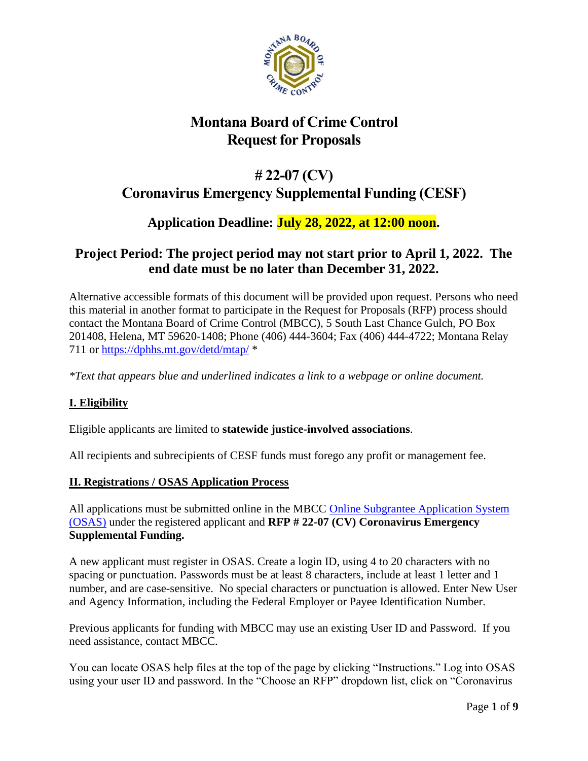

# **Montana Board of Crime Control Request for Proposals**

# **# 22-07 (CV) Coronavirus Emergency Supplemental Funding (CESF)**

# **Application Deadline: July 28, 2022, at 12:00 noon.**

# **Project Period: The project period may not start prior to April 1, 2022. The end date must be no later than December 31, 2022.**

Alternative accessible formats of this document will be provided upon request. Persons who need this material in another format to participate in the Request for Proposals (RFP) process should contact the Montana Board of Crime Control (MBCC), 5 South Last Chance Gulch, PO Box 201408, Helena, MT 59620-1408; Phone (406) 444-3604; Fax (406) 444-4722; Montana Relay 711 or<https://dphhs.mt.gov/detd/mtap/> \*

*\*Text that appears blue and underlined indicates a link to a webpage or online document.*

# **I. Eligibility**

Eligible applicants are limited to **statewide justice-involved associations**.

All recipients and subrecipients of CESF funds must forego any profit or management fee.

### **II. Registrations / OSAS Application Process**

All applications must be submitted online in the MBCC [Online Subgrantee Application System](http://apps.mbcc.mt.gov/osas/Default.aspx)  [\(OSAS\)](http://apps.mbcc.mt.gov/osas/Default.aspx) under the registered applicant and **RFP # 22-07 (CV) Coronavirus Emergency Supplemental Funding.**

A new applicant must register in OSAS. Create a login ID, using 4 to 20 characters with no spacing or punctuation. Passwords must be at least 8 characters, include at least 1 letter and 1 number, and are case-sensitive. No special characters or punctuation is allowed. Enter New User and Agency Information, including the Federal Employer or Payee Identification Number.

Previous applicants for funding with MBCC may use an existing User ID and Password. If you need assistance, contact MBCC.

You can locate OSAS help files at the top of the page by clicking "Instructions." Log into OSAS using your user ID and password. In the "Choose an RFP" dropdown list, click on "Coronavirus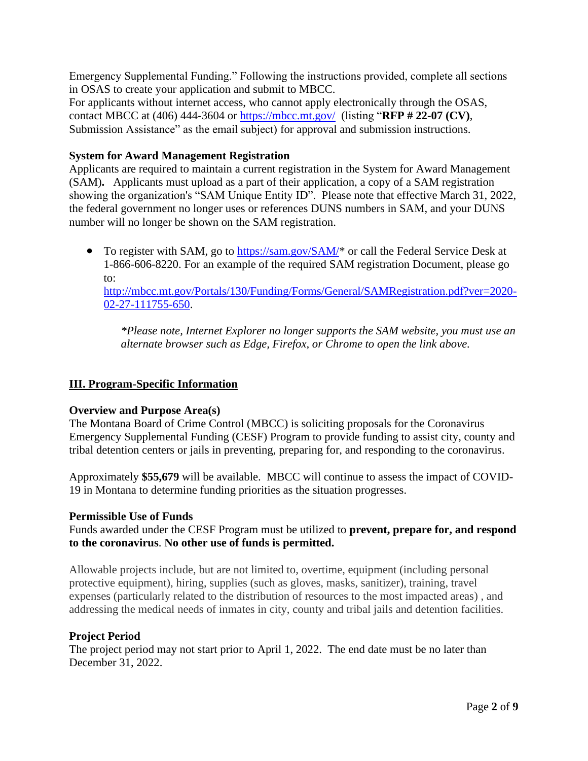Emergency Supplemental Funding." Following the instructions provided, complete all sections in OSAS to create your application and submit to MBCC.

For applicants without internet access, who cannot apply electronically through the OSAS, contact MBCC at (406) 444-3604 or<https://mbcc.mt.gov/>(listing "**RFP # 22-07 (CV)**, Submission Assistance" as the email subject) for approval and submission instructions.

#### **System for Award Management Registration**

Applicants are required to maintain a current registration in the System for Award Management (SAM)**.** Applicants must upload as a part of their application, a copy of a SAM registration showing the organization's "SAM Unique Entity ID". Please note that effective March 31, 2022, the federal government no longer uses or references DUNS numbers in SAM, and your DUNS number will no longer be shown on the SAM registration.

• To register with SAM, go to  $\frac{https://sam.gov/SAM/*}{https://sam.gov/SAM/*}$  or call the Federal Service Desk at 1-866-606-8220. For an example of the required SAM registration Document, please go to:

[http://mbcc.mt.gov/Portals/130/Funding/Forms/General/SAMRegistration.pdf?ver=2020-](http://mbcc.mt.gov/Portals/130/Funding/Forms/General/SAMRegistration.pdf?ver=2020-02-27-111755-650) [02-27-111755-650.](http://mbcc.mt.gov/Portals/130/Funding/Forms/General/SAMRegistration.pdf?ver=2020-02-27-111755-650)

*\*Please note, Internet Explorer no longer supports the SAM website, you must use an alternate browser such as Edge, Firefox, or Chrome to open the link above.*

#### **III. Program-Specific Information**

#### **Overview and Purpose Area(s)**

The Montana Board of Crime Control (MBCC) is soliciting proposals for the Coronavirus Emergency Supplemental Funding (CESF) Program to provide funding to assist city, county and tribal detention centers or jails in preventing, preparing for, and responding to the coronavirus.

Approximately **\$55,679** will be available. MBCC will continue to assess the impact of COVID-19 in Montana to determine funding priorities as the situation progresses.

#### **Permissible Use of Funds**

Funds awarded under the CESF Program must be utilized to **prevent, prepare for, and respond to the coronavirus**. **No other use of funds is permitted.**

Allowable projects include, but are not limited to, overtime, equipment (including personal protective equipment), hiring, supplies (such as gloves, masks, sanitizer), training, travel expenses (particularly related to the distribution of resources to the most impacted areas) , and addressing the medical needs of inmates in city, county and tribal jails and detention facilities.

#### **Project Period**

The project period may not start prior to April 1, 2022. The end date must be no later than December 31, 2022.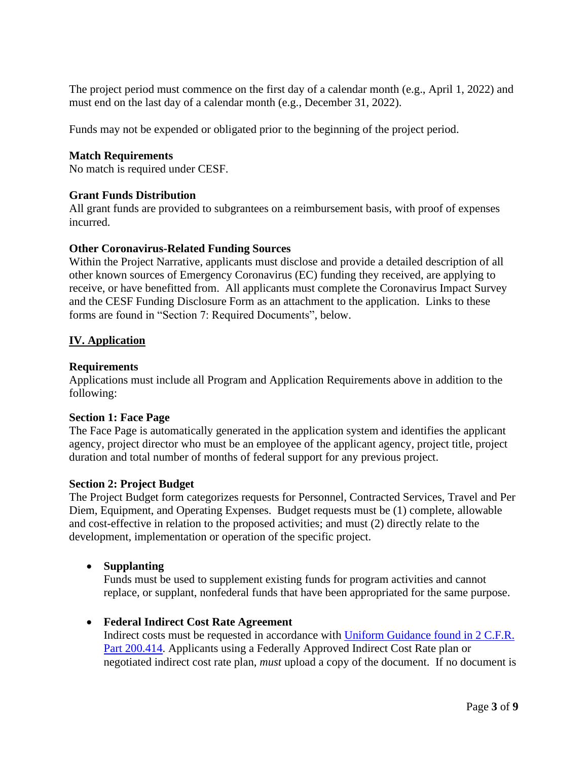The project period must commence on the first day of a calendar month (e.g., April 1, 2022) and must end on the last day of a calendar month (e.g., December 31, 2022).

Funds may not be expended or obligated prior to the beginning of the project period.

#### **Match Requirements**

No match is required under CESF.

#### **Grant Funds Distribution**

All grant funds are provided to subgrantees on a reimbursement basis, with proof of expenses incurred.

#### **Other Coronavirus-Related Funding Sources**

Within the Project Narrative, applicants must disclose and provide a detailed description of all other known sources of Emergency Coronavirus (EC) funding they received, are applying to receive, or have benefitted from. All applicants must complete the Coronavirus Impact Survey and the [CESF Funding Disclosure Form](file://///doaisd7402/BCC$/vol1/share/Coronavirus/FY%202020%20Coronavirus/Solicitation/CESF%20Funding%20Disclosure%20Form.xlsx) as an attachment to the application. Links to these forms are found in "Section 7: Required Documents", below.

#### **IV. Application**

#### **Requirements**

Applications must include all Program and Application Requirements above in addition to the following:

#### **Section 1: Face Page**

The Face Page is automatically generated in the application system and identifies the applicant agency, project director who must be an employee of the applicant agency, project title, project duration and total number of months of federal support for any previous project.

#### **Section 2: Project Budget**

The Project Budget form categorizes requests for Personnel, Contracted Services, Travel and Per Diem, Equipment, and Operating Expenses. Budget requests must be (1) complete, allowable and cost-effective in relation to the proposed activities; and must (2) directly relate to the development, implementation or operation of the specific project.

#### • **Supplanting**

Funds must be used to supplement existing funds for program activities and cannot replace, or supplant, nonfederal funds that have been appropriated for the same purpose.

#### • **Federal Indirect Cost Rate Agreement**

Indirect costs must be requested in accordance with [Uniform Guidance found in 2 C.F.R.](https://www.ecfr.gov/cgi-bin/retrieveECFR?gp=&SID=37ae60df1287ff17af758ce4b07abced&mc=true&n=pt2.1.200&r=PART&ty=HTML#se2.1.200_1414)  [Part 200.414.](https://www.ecfr.gov/cgi-bin/retrieveECFR?gp=&SID=37ae60df1287ff17af758ce4b07abced&mc=true&n=pt2.1.200&r=PART&ty=HTML#se2.1.200_1414) Applicants using a Federally Approved Indirect Cost Rate plan or negotiated indirect cost rate plan, *must* upload a copy of the document. If no document is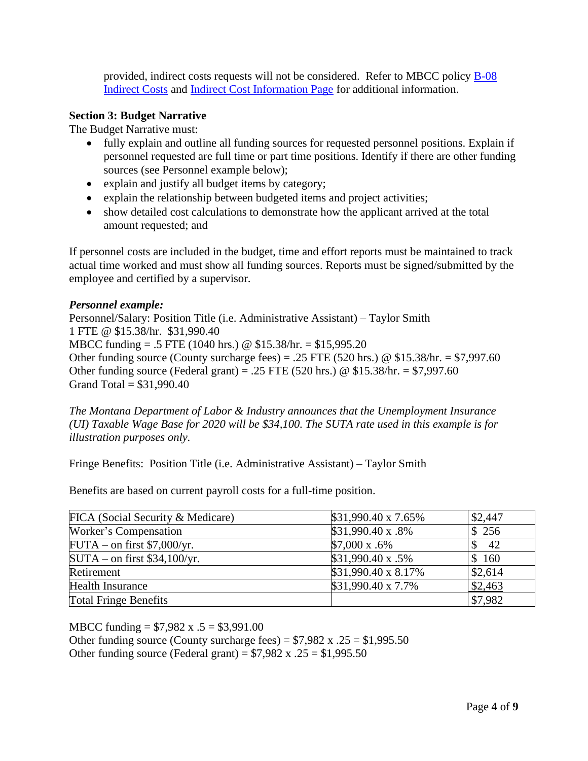provided, indirect costs requests will not be considered. Refer to MBCC policy [B-08](http://mbcc.mt.gov/Portals/130/About/Policies%20and%20Bylaws/B-08%20Indirect%20Costs.pdf?ver=2019-12-17-104051-243)  [Indirect Costs](http://mbcc.mt.gov/Portals/130/About/Policies%20and%20Bylaws/B-08%20Indirect%20Costs.pdf?ver=2019-12-17-104051-243) and [Indirect Cost Information Page](http://mbcc.mt.gov/Portals/130/Funding/Forms/Financial/Indirect%20Costs.pdf?ver=2018-12-04-084240-297) for additional information.

#### **Section 3: Budget Narrative**

The Budget Narrative must:

- fully explain and outline all funding sources for requested personnel positions. Explain if personnel requested are full time or part time positions. Identify if there are other funding sources (see Personnel example below);
- explain and justify all budget items by category;
- explain the relationship between budgeted items and project activities;
- show detailed cost calculations to demonstrate how the applicant arrived at the total amount requested; and

If personnel costs are included in the budget, time and effort reports must be maintained to track actual time worked and must show all funding sources. Reports must be signed/submitted by the employee and certified by a supervisor.

#### *Personnel example:*

Personnel/Salary: Position Title (i.e. Administrative Assistant) – Taylor Smith 1 FTE @ \$15.38/hr. \$31,990.40 MBCC funding = .5 FTE (1040 hrs.) @ \$15.38/hr. = \$15,995.20 Other funding source (County surcharge fees) = .25 FTE (520 hrs.) @  $$15.38/hr. = $7,997.60$ Other funding source (Federal grant) = .25 FTE (520 hrs.)  $\omega$  \$15.38/hr. = \$7,997.60 Grand Total =  $$31,990.40$ 

*The Montana Department of Labor & Industry announces that the Unemployment Insurance (UI) Taxable Wage Base for 2020 will be \$34,100. The SUTA rate used in this example is for illustration purposes only.* 

Fringe Benefits: Position Title (i.e. Administrative Assistant) – Taylor Smith

Benefits are based on current payroll costs for a full-time position.

| FICA (Social Security & Medicare) | \$31,990.40 x 7.65%  | \$2,447 |
|-----------------------------------|----------------------|---------|
| Worker's Compensation             | \$31,990.40 x .8%    | \$256   |
| $FUTA$ – on first \$7,000/yr.     | $$7,000 \times .6\%$ | 42      |
| $SUTA$ – on first \$34,100/yr.    | \$31,990.40 x .5%    | \$160   |
| Retirement                        | \$31,990.40 x 8.17%  | \$2,614 |
| <b>Health Insurance</b>           | \$31,990.40 x 7.7%   | \$2,463 |
| <b>Total Fringe Benefits</b>      |                      | \$7,982 |

MBCC funding =  $$7,982 \text{ x } .5 = $3,991.00$ 

Other funding source (County surcharge fees) =  $$7,982$  x  $.25 = $1,995.50$ Other funding source (Federal grant) =  $$7,982 \text{ x} \cdot .25 = $1,995.50$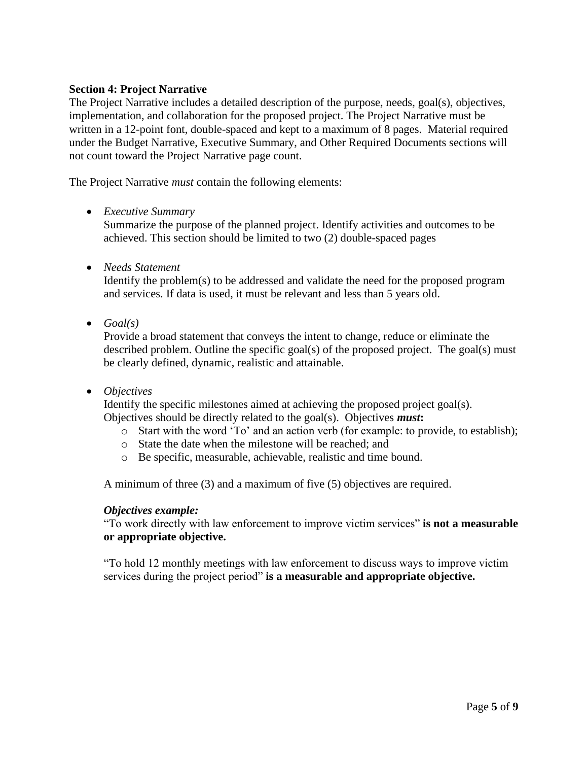#### **Section 4: Project Narrative**

The Project Narrative includes a detailed description of the purpose, needs, goal(s), objectives, implementation, and collaboration for the proposed project. The Project Narrative must be written in a 12-point font, double-spaced and kept to a maximum of 8 pages. Material required under the Budget Narrative, Executive Summary, and Other Required Documents sections will not count toward the Project Narrative page count.

The Project Narrative *must* contain the following elements:

#### • *Executive Summary*

Summarize the purpose of the planned project. Identify activities and outcomes to be achieved. This section should be limited to two (2) double-spaced pages

• *Needs Statement*

Identify the problem(s) to be addressed and validate the need for the proposed program and services. If data is used, it must be relevant and less than 5 years old.

• *Goal(s)*

Provide a broad statement that conveys the intent to change, reduce or eliminate the described problem. Outline the specific goal(s) of the proposed project. The goal(s) must be clearly defined, dynamic, realistic and attainable.

#### • *Objectives*

Identify the specific milestones aimed at achieving the proposed project goal(s). Objectives should be directly related to the goal(s). Objectives *must***:**

- o Start with the word 'To' and an action verb (for example: to provide, to establish);
- o State the date when the milestone will be reached; and
- o Be specific, measurable, achievable, realistic and time bound.

A minimum of three (3) and a maximum of five (5) objectives are required.

#### *Objectives example:*

"To work directly with law enforcement to improve victim services" **is not a measurable or appropriate objective.**

"To hold 12 monthly meetings with law enforcement to discuss ways to improve victim services during the project period" **is a measurable and appropriate objective.**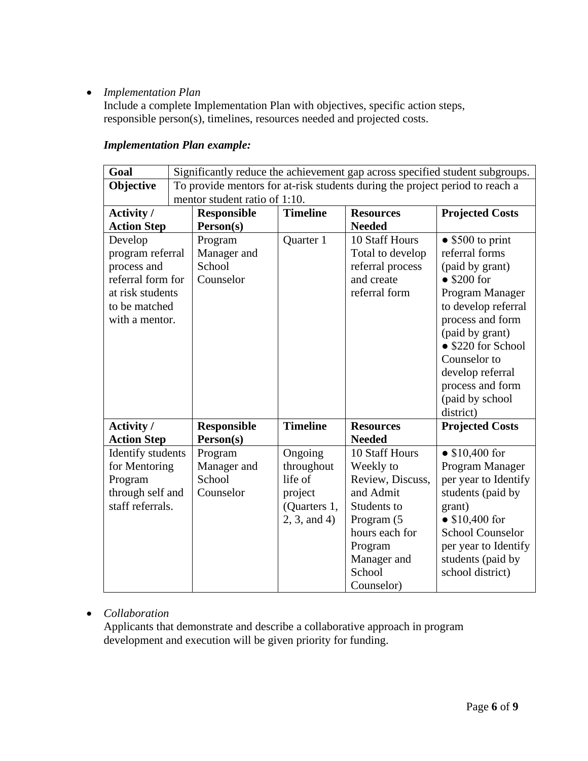## • *Implementation Plan*

Include a complete Implementation Plan with objectives, specific action steps, responsible person(s), timelines, resources needed and projected costs.

| Goal               | Significantly reduce the achievement gap across specified student subgroups. |                    |                 |                  |                          |
|--------------------|------------------------------------------------------------------------------|--------------------|-----------------|------------------|--------------------------|
| Objective          | To provide mentors for at-risk students during the project period to reach a |                    |                 |                  |                          |
|                    | mentor student ratio of 1:10.                                                |                    |                 |                  |                          |
| Activity /         |                                                                              | <b>Responsible</b> | <b>Timeline</b> | <b>Resources</b> | <b>Projected Costs</b>   |
| <b>Action Step</b> |                                                                              | Person(s)          |                 | <b>Needed</b>    |                          |
| Develop            |                                                                              | Program            | Quarter 1       | 10 Staff Hours   | $\bullet$ \$500 to print |
| program referral   |                                                                              | Manager and        |                 | Total to develop | referral forms           |
| process and        |                                                                              | School             |                 | referral process | (paid by grant)          |
| referral form for  |                                                                              | Counselor          |                 | and create       | $\bullet$ \$200 for      |
| at risk students   |                                                                              |                    |                 | referral form    | Program Manager          |
| to be matched      |                                                                              |                    |                 |                  | to develop referral      |
| with a mentor.     |                                                                              |                    |                 |                  | process and form         |
|                    |                                                                              |                    |                 |                  | (paid by grant)          |
|                    |                                                                              |                    |                 |                  | • \$220 for School       |
|                    |                                                                              |                    |                 |                  | Counselor to             |
|                    |                                                                              |                    |                 |                  | develop referral         |
|                    |                                                                              |                    |                 |                  | process and form         |
|                    |                                                                              |                    |                 |                  | (paid by school          |
|                    |                                                                              |                    |                 |                  | district)                |
| Activity /         |                                                                              | <b>Responsible</b> | <b>Timeline</b> | <b>Resources</b> | <b>Projected Costs</b>   |
| <b>Action Step</b> |                                                                              | Person(s)          |                 | <b>Needed</b>    |                          |
| Identify students  |                                                                              | Program            | Ongoing         | 10 Staff Hours   | • $$10,400$ for          |
| for Mentoring      |                                                                              | Manager and        | throughout      | Weekly to        | Program Manager          |
| Program            |                                                                              | School             | life of         | Review, Discuss, | per year to Identify     |
| through self and   |                                                                              | Counselor          | project         | and Admit        | students (paid by        |
| staff referrals.   |                                                                              |                    | (Quarters 1,    | Students to      | grant)                   |
|                    |                                                                              |                    | 2, 3, and 4     | Program (5       | • $$10,400$ for          |
|                    |                                                                              |                    |                 | hours each for   | <b>School Counselor</b>  |
|                    |                                                                              |                    |                 | Program          | per year to Identify     |
|                    |                                                                              |                    |                 | Manager and      | students (paid by        |
|                    |                                                                              |                    |                 | School           | school district)         |

### *Implementation Plan example:*

### • *Collaboration*

Applicants that demonstrate and describe a collaborative approach in program development and execution will be given priority for funding.

Counselor)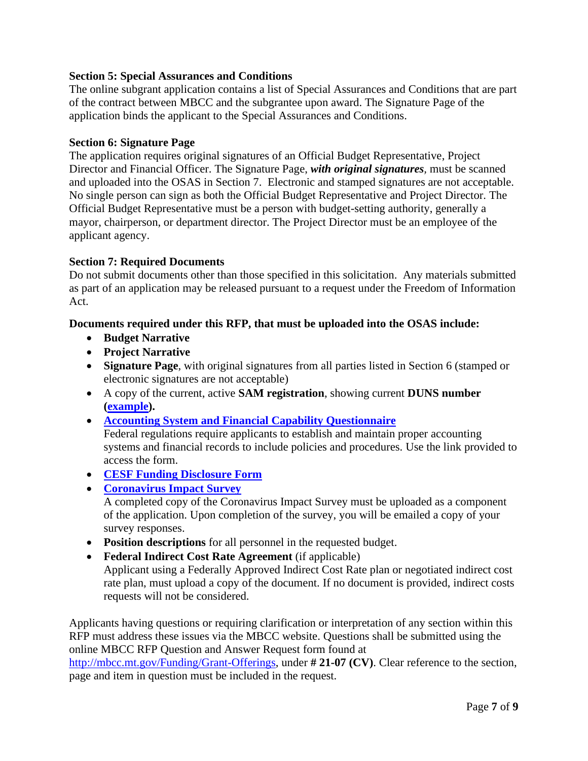#### **Section 5: Special Assurances and Conditions**

The online subgrant application contains a list of Special Assurances and Conditions that are part of the contract between MBCC and the subgrantee upon award. The Signature Page of the application binds the applicant to the Special Assurances and Conditions.

#### **Section 6: Signature Page**

The application requires original signatures of an Official Budget Representative, Project Director and Financial Officer. The Signature Page, *with original signatures,* must be scanned and uploaded into the OSAS in Section 7. Electronic and stamped signatures are not acceptable. No single person can sign as both the Official Budget Representative and Project Director. The Official Budget Representative must be a person with budget-setting authority, generally a mayor, chairperson, or department director. The Project Director must be an employee of the applicant agency.

#### **Section 7: Required Documents**

Do not submit documents other than those specified in this solicitation. Any materials submitted as part of an application may be released pursuant to a request under the Freedom of Information Act.

#### **Documents required under this RFP, that must be uploaded into the OSAS include:**

- **Budget Narrative**
- **Project Narrative**
- **Signature Page**, with original signatures from all parties listed in Section 6 (stamped or electronic signatures are not acceptable)
- A copy of the current, active **SAM registration**, showing current **DUNS number [\(example\)](http://mbcc.mt.gov/Portals/130/Funding/Forms/General/SAMRegistration.pdf?ver=2020-02-27-111755-650.).**
- **[Accounting System and Financial Capability Questionnaire](http://mbcc.mt.gov/Portals/130/Funding/Forms/Financial/FinCapability.docx?ver=2020-11-17-120136-737)** Federal regulations require applicants to establish and maintain proper accounting systems and financial records to include policies and procedures. Use the link provided to access the form.
- **[CESF Funding Disclosure Form](http://mbcc.mt.gov/Portals/130/Funding/Forms/Financial/CESF%20Funding%20Disclosure%20Form.xlsx?ver=2020-04-24-120824-907)**
- **[Coronavirus Impact Survey](https://forms.office.com/Pages/ResponsePage.aspx?id=mEypBw_zu0q9ftY_hyDcAtQXeDppLr9DibBCkNAznmVURUJQVEdHTks3S0xYNzI4UTY0OE9CNE5WVi4u)** A completed copy of the Coronavirus Impact Survey must be uploaded as a component of the application. Upon completion of the survey, you will be emailed a copy of your survey responses.
- **Position descriptions** for all personnel in the requested budget.
- **Federal Indirect Cost Rate Agreement** (if applicable)

Applicant using a Federally Approved Indirect Cost Rate plan or negotiated indirect cost rate plan, must upload a copy of the document. If no document is provided, indirect costs requests will not be considered.

Applicants having questions or requiring clarification or interpretation of any section within this RFP must address these issues via the MBCC website. Questions shall be submitted using the online MBCC RFP Question and Answer Request form found at

[http://mbcc.mt.gov/Funding/Grant-Offerings,](http://mbcc.mt.gov/Funding/Grant-Offerings) under **# 21-07 (CV)**. Clear reference to the section, page and item in question must be included in the request.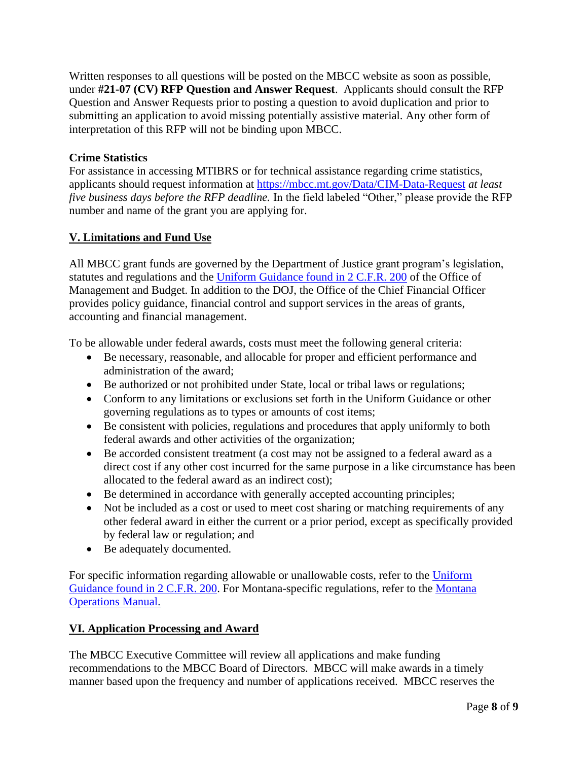Written responses to all questions will be posted on the MBCC website as soon as possible, under **#21-07 (CV) RFP Question and Answer Request**. Applicants should consult the RFP Question and Answer Requests prior to posting a question to avoid duplication and prior to submitting an application to avoid missing potentially assistive material. Any other form of interpretation of this RFP will not be binding upon MBCC.

### **Crime Statistics**

For assistance in accessing MTIBRS or for technical assistance regarding crime statistics, applicants should request information at <https://mbcc.mt.gov/Data/CIM-Data-Request> *at least five business days before the RFP deadline.* In the field labeled "Other," please provide the RFP number and name of the grant you are applying for.

## **V. Limitations and Fund Use**

All MBCC grant funds are governed by the Department of Justice grant program's legislation, statutes and regulations and the [Uniform Guidance found in 2 C.F.R. 200](https://www.ecfr.gov/cgi-bin/retrieveECFR?gp=&SID=870db2718d81511f58f280c0fdc0957d&n=pt2.1.200&r=PART&ty=HTML#sp2.1.200.e) of the Office of Management and Budget. In addition to the DOJ, the Office of the Chief Financial Officer provides policy guidance, financial control and support services in the areas of grants, accounting and financial management.

To be allowable under federal awards, costs must meet the following general criteria:

- Be necessary, reasonable, and allocable for proper and efficient performance and administration of the award;
- Be authorized or not prohibited under State, local or tribal laws or regulations;
- Conform to any limitations or exclusions set forth in the Uniform Guidance or other governing regulations as to types or amounts of cost items;
- Be consistent with policies, regulations and procedures that apply uniformly to both federal awards and other activities of the organization;
- Be accorded consistent treatment (a cost may not be assigned to a federal award as a direct cost if any other cost incurred for the same purpose in a like circumstance has been allocated to the federal award as an indirect cost);
- Be determined in accordance with generally accepted accounting principles;
- Not be included as a cost or used to meet cost sharing or matching requirements of any other federal award in either the current or a prior period, except as specifically provided by federal law or regulation; and
- Be adequately documented.

For specific information regarding allowable or unallowable costs, refer to the Uniform [Guidance found in 2 C.F.R. 200.](https://www.ecfr.gov/cgi-bin/retrieveECFR?gp=&SID=870db2718d81511f58f280c0fdc0957d&n=pt2.1.200&r=PART&ty=HTML#sp2.1.200.e) For Montana-specific regulations, refer to the [Montana](http://mom.mt.gov/default.mcpx)  [Operations Manual.](http://mom.mt.gov/default.mcpx) 

### **VI. Application Processing and Award**

The MBCC Executive Committee will review all applications and make funding recommendations to the MBCC Board of Directors. MBCC will make awards in a timely manner based upon the frequency and number of applications received. MBCC reserves the